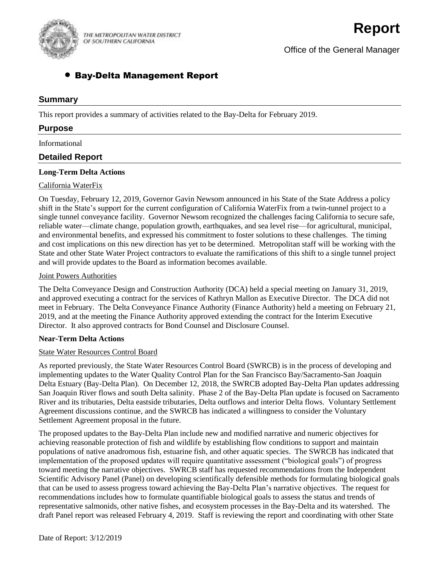

THE METROPOLITAN WATER DISTRICT OF SOUTHERN CALIFORNIA

Office of the General Manager

# Bay-Delta Management Report

## **Summary**

This report provides a summary of activities related to the Bay-Delta for February 2019.

## **Purpose**

Informational

# **Detailed Report**

## **Long-Term Delta Actions**

## California WaterFix

On Tuesday, February 12, 2019, Governor Gavin Newsom announced in his State of the State Address a policy shift in the State's support for the current configuration of California WaterFix from a twin-tunnel project to a single tunnel conveyance facility. Governor Newsom recognized the challenges facing California to secure safe, reliable water—climate change, population growth, earthquakes, and sea level rise—for agricultural, municipal, and environmental benefits, and expressed his commitment to foster solutions to these challenges. The timing and cost implications on this new direction has yet to be determined. Metropolitan staff will be working with the State and other State Water Project contractors to evaluate the ramifications of this shift to a single tunnel project and will provide updates to the Board as information becomes available.

#### Joint Powers Authorities

The Delta Conveyance Design and Construction Authority (DCA) held a special meeting on January 31, 2019, and approved executing a contract for the services of Kathryn Mallon as Executive Director. The DCA did not meet in February. The Delta Conveyance Finance Authority (Finance Authority) held a meeting on February 21, 2019, and at the meeting the Finance Authority approved extending the contract for the Interim Executive Director. It also approved contracts for Bond Counsel and Disclosure Counsel.

#### **Near-Term Delta Actions**

#### State Water Resources Control Board

As reported previously, the State Water Resources Control Board (SWRCB) is in the process of developing and implementing updates to the Water Quality Control Plan for the San Francisco Bay/Sacramento-San Joaquin Delta Estuary (Bay‐Delta Plan). On December 12, 2018, the SWRCB adopted Bay-Delta Plan updates addressing San Joaquin River flows and south Delta salinity. Phase 2 of the Bay-Delta Plan update is focused on Sacramento River and its tributaries, Delta eastside tributaries, Delta outflows and interior Delta flows. Voluntary Settlement Agreement discussions continue, and the SWRCB has indicated a willingness to consider the Voluntary Settlement Agreement proposal in the future.

The proposed updates to the Bay-Delta Plan include new and modified narrative and numeric objectives for achieving reasonable protection of fish and wildlife by establishing flow conditions to support and maintain populations of native anadromous fish, estuarine fish, and other aquatic species. The SWRCB has indicated that implementation of the proposed updates will require quantitative assessment ("biological goals") of progress toward meeting the narrative objectives. SWRCB staff has requested recommendations from the Independent Scientific Advisory Panel (Panel) on developing scientifically defensible methods for formulating biological goals that can be used to assess progress toward achieving the Bay-Delta Plan's narrative objectives. The request for recommendations includes how to formulate quantifiable biological goals to assess the status and trends of representative salmonids, other native fishes, and ecosystem processes in the Bay-Delta and its watershed. The draft Panel report was released February 4, 2019. Staff is reviewing the report and coordinating with other State